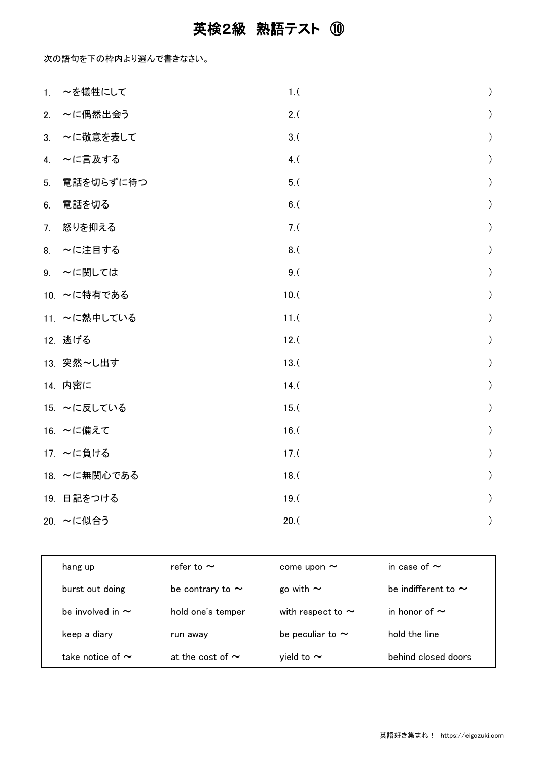## 英検2級 熟語テスト ⑩

次の語句を下の枠内より選んで書きなさい。

|    | 1. ~を犠牲にして   | 1.(    | $\big)$          |
|----|--------------|--------|------------------|
| 2. | ~に偶然出会う      | 2.(    | $\left( \right)$ |
| 3. | ~に敬意を表して     | $3.$ ( | $\mathcal{C}$    |
| 4. | ~に言及する       | 4. (   | $\big)$          |
| 5. | 電話を切らずに待つ    | $5.$ ( | $\big)$          |
| 6. | 電話を切る        | $6.$ ( | $\big)$          |
|    | 7. 怒りを抑える    | 7. (   | $\mathcal{C}$    |
| 8. | ~に注目する       | $8.$ ( | $\big)$          |
|    | 9. ~に関しては    | 9.(    | $\mathcal{L}$    |
|    | 10. ~に特有である  | 10. (  | $\big)$          |
|    | 11. ~に熱中している | 11. (  | $\big)$          |
|    | 12. 逃げる      | 12. (  | $\mathcal{C}$    |
|    | 13. 突然~し出す   | 13. (  | $\mathcal{L}$    |
|    | 14. 内密に      | 14. (  | $\mathcal{C}$    |
|    | 15. ~に反している  | 15. (  | $\mathcal{L}$    |
|    | 16. ~に備えて    | 16. (  | $\left( \right)$ |
|    | 17. ~に負ける    | 17. (  | $\mathcal{L}$    |
|    | 18. ~に無関心である | 18. (  | $\big)$          |
|    | 19. 日記をつける   | 19. (  | $\big)$          |
|    | 20. ~に似合う    | 20. (  | $\big)$          |

| hang up               | refer to $\sim$       | come upon $\sim$       | in case of $\sim$        |
|-----------------------|-----------------------|------------------------|--------------------------|
| burst out doing       | be contrary to $\sim$ | go with $\sim$         | be indifferent to $\sim$ |
| be involved in $\sim$ | hold one's temper     | with respect to $\sim$ | in honor of $\sim$       |
| keep a diary          | run away              | be peculiar to $\sim$  | hold the line            |
| take notice of $\sim$ | at the cost of $\sim$ | yield to $\sim$        | behind closed doors      |